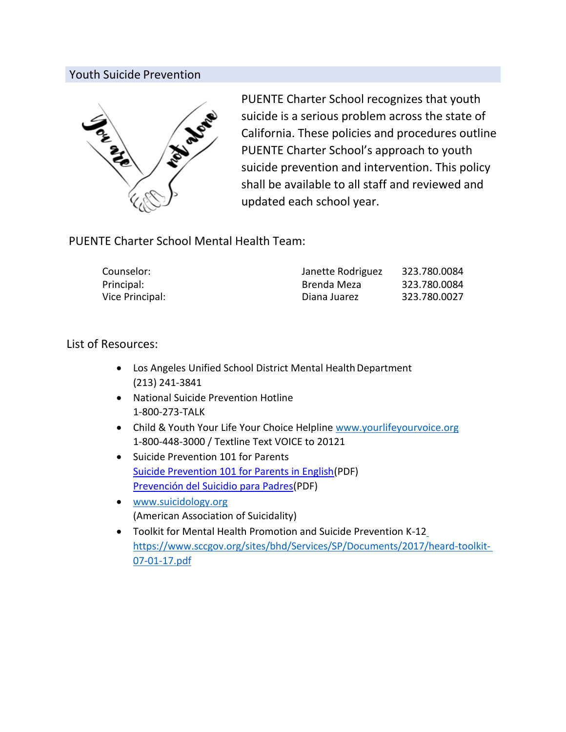# Youth Suicide Prevention



PUENTE Charter School recognizes that youth suicide is a serious problem across the state of California. These policies and procedures outline PUENTE Charter School's approach to youth suicide prevention and intervention. This policy shall be available to all staff and reviewed and updated each school year.

# PUENTE Charter School Mental Health Team:

| Counselor:      | Janette Rodriguez | 323.780.0084 |
|-----------------|-------------------|--------------|
| Principal:      | Brenda Meza       | 323.780.0084 |
| Vice Principal: | Diana Juarez      | 323.780.0027 |

# List of Resources:

- Los Angeles Unified School District Mental Health Department (213) 241-3841
- National Suicide Prevention Hotline 1-800-273-TALK
- Child & Youth Your Life Your Choice Helpline [www.yourlifeyourvoice.org](http://www.yourlifeyourvoice.org/) 1-800-448-3000 / Textline Text VOICE to 20121
- Suicide Prevention 101 for Parents [Suicide Prevention 101 for Parents in English\(PDF\)](https://www.cde.ca.gov/ls/cg/mh/documents/sp101english.pdf) [Prevención del Suicidio para Padres\(PDF\)](https://www.cde.ca.gov/ls/cg/mh/documents/sp101spanish.pdf)
- [www.suicidology.org](http://www.suicidology.org/) (American Association of Suicidality)
- Toolkit for Mental Health Promotion and Suicide Prevention K-1[2](https://www.sccgov.org/sites/bhd/Services/SP/Documents/2017/heard-toolkit-07-01-17.pdf) [https://www.sccgov.org/sites/bhd/Services/SP/Documents/2017/heard-toolkit-](https://www.sccgov.org/sites/bhd/Services/SP/Documents/2017/heard-toolkit-07-01-17.pdf)[07-01-17.pdf](https://www.sccgov.org/sites/bhd/Services/SP/Documents/2017/heard-toolkit-07-01-17.pdf)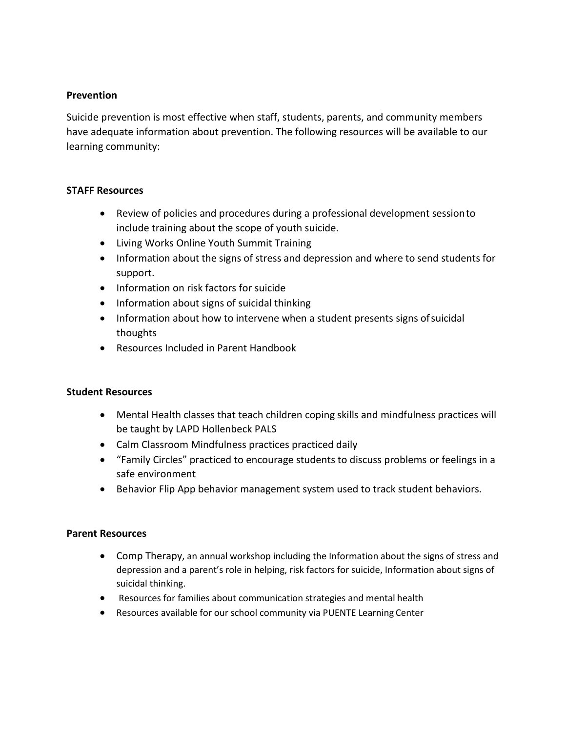### **Prevention**

Suicide prevention is most effective when staff, students, parents, and community members have adequate information about prevention. The following resources will be available to our learning community:

### **STAFF Resources**

- Review of policies and procedures during a professional development sessionto include training about the scope of youth suicide.
- Living Works Online Youth Summit Training
- Information about the signs of stress and depression and where to send students for support.
- **•** Information on risk factors for suicide
- Information about signs of suicidal thinking
- Information about how to intervene when a student presents signs of suicidal thoughts
- Resources Included in Parent Handbook

## **Student Resources**

- Mental Health classes that teach children coping skills and mindfulness practices will be taught by LAPD Hollenbeck PALS
- Calm Classroom Mindfulness practices practiced daily
- "Family Circles" practiced to encourage students to discuss problems or feelings in a safe environment
- Behavior Flip App behavior management system used to track student behaviors.

#### **Parent Resources**

- Comp Therapy, an annual workshop including the Information about the signs of stress and depression and a parent's role in helping, risk factors for suicide, Information about signs of suicidal thinking.
- Resources for families about communication strategies and mental health
- Resources available for our school community via PUENTE Learning Center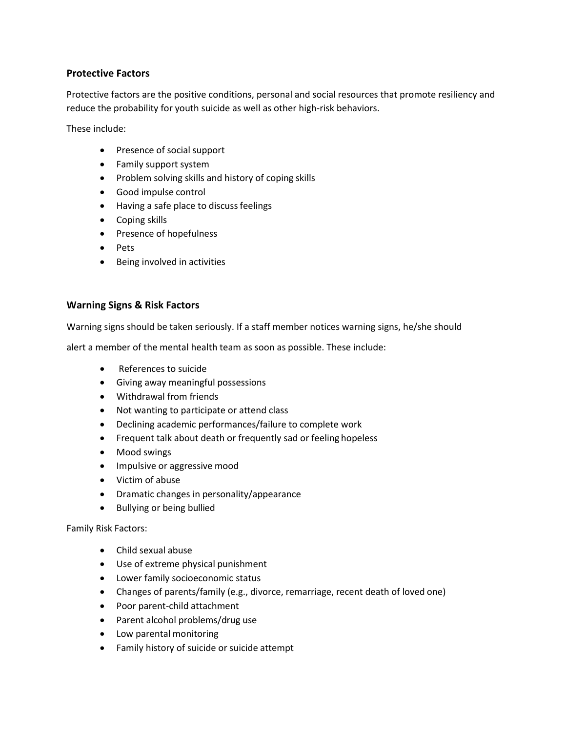## **Protective Factors**

Protective factors are the positive conditions, personal and social resources that promote resiliency and reduce the probability for youth suicide as well as other high-risk behaviors.

These include:

- Presence of social support
- Family support system
- Problem solving skills and history of coping skills
- Good impulse control
- Having a safe place to discuss feelings
- Coping skills
- Presence of hopefulness
- Pets
- Being involved in activities

## **Warning Signs & Risk Factors**

Warning signs should be taken seriously. If a staff member notices warning signs, he/she should

alert a member of the mental health team as soon as possible. These include:

- References to suicide
- Giving away meaningful possessions
- Withdrawal from friends
- Not wanting to participate or attend class
- Declining academic performances/failure to complete work
- Frequent talk about death or frequently sad or feeling hopeless
- Mood swings
- Impulsive or aggressive mood
- Victim of abuse
- Dramatic changes in personality/appearance
- Bullying or being bullied

#### Family Risk Factors:

- Child sexual abuse
- Use of extreme physical punishment
- Lower family socioeconomic status
- Changes of parents/family (e.g., divorce, remarriage, recent death of loved one)
- Poor parent-child attachment
- Parent alcohol problems/drug use
- Low parental monitoring
- Family history of suicide or suicide attempt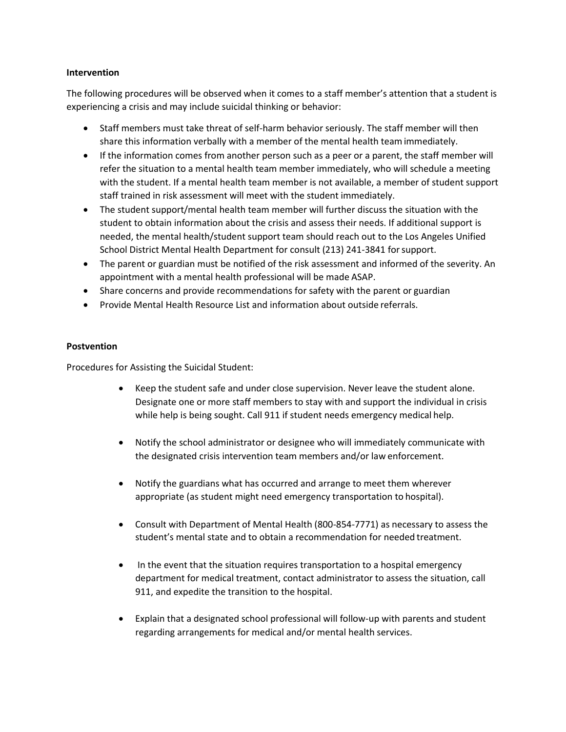#### **Intervention**

The following procedures will be observed when it comes to a staff member's attention that a student is experiencing a crisis and may include suicidal thinking or behavior:

- Staff members must take threat of self-harm behavior seriously. The staff member will then share this information verbally with a member of the mental health team immediately.
- If the information comes from another person such as a peer or a parent, the staff member will refer the situation to a mental health team member immediately, who will schedule a meeting with the student. If a mental health team member is not available, a member of student support staff trained in risk assessment will meet with the student immediately.
- The student support/mental health team member will further discuss the situation with the student to obtain information about the crisis and assess their needs. If additional support is needed, the mental health/student support team should reach out to the Los Angeles Unified School District Mental Health Department for consult (213) 241-3841 forsupport.
- The parent or guardian must be notified of the risk assessment and informed of the severity. An appointment with a mental health professional will be made ASAP.
- Share concerns and provide recommendations for safety with the parent or guardian
- Provide Mental Health Resource List and information about outside referrals.

#### **Postvention**

Procedures for Assisting the Suicidal Student:

- Keep the student safe and under close supervision. Never leave the student alone. Designate one or more staff members to stay with and support the individual in crisis while help is being sought. Call 911 if student needs emergency medical help.
- Notify the school administrator or designee who will immediately communicate with the designated crisis intervention team members and/or law enforcement.
- Notify the guardians what has occurred and arrange to meet them wherever appropriate (as student might need emergency transportation to hospital).
- Consult with Department of Mental Health (800-854-7771) as necessary to assess the student's mental state and to obtain a recommendation for needed treatment.
- In the event that the situation requires transportation to a hospital emergency department for medical treatment, contact administrator to assess the situation, call 911, and expedite the transition to the hospital.
- Explain that a designated school professional will follow-up with parents and student regarding arrangements for medical and/or mental health services.